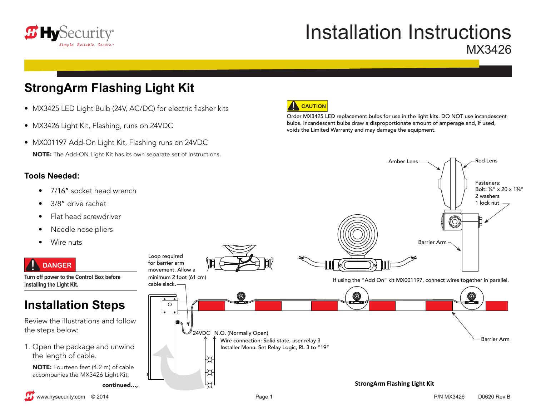

# Installation Instructions MX3426

Order MX3425 LED replacement bulbs for use in the light kits. DO NOT use incandescent bulbs. Incandescent bulbs draw a disproportionate amount of amperage and, if used,

voids the Limited Warranty and may damage the equipment.

Amber Lens  $\longrightarrow$  A  $\land$   $\land$  Red Lens

Fasteners: Bolt: ¼" x 20 x 1¾"

## **StrongArm Flashing Light Kit**

- MX3425 LED Light Bulb (24V, AC/DC) for electric flasher kits
- MX3426 Light Kit, Flashing, runs on 24VDC
- MX001197 Add-On Light Kit, Flashing runs on 24VDC NOTE: The Add-ON Light Kit has its own separate set of instructions.

#### **Tools Needed:**

- 7/16" socket head wrench
- 3/8" drive rachet
- Flat head screwdriver
- Needle nose pliers
- Wire nuts

### **DANGER**

**Turn off power to the Control Box before installing the Light Kit.** 

## **Installation Steps**

Review the illustrations and follow the steps below:

1. Open the package and unwind the length of cable.

NOTE: Fourteen feet (4.2 m) of cable accompanies the MX3426 Light Kit.

continued...,



**CAUTION**